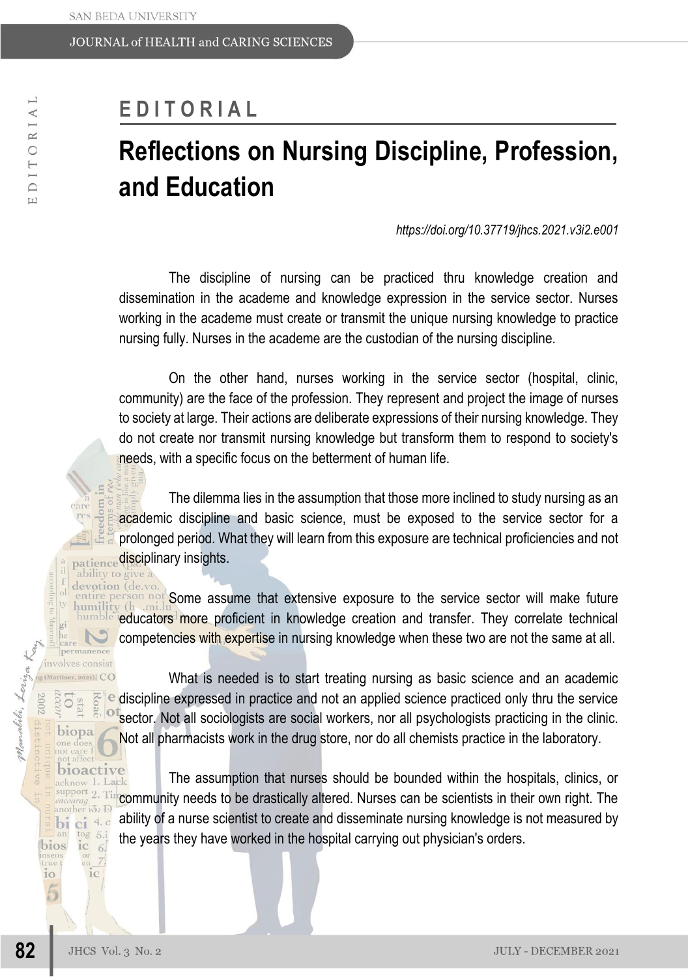## **E D I T O R I A L**

## **Reflections on Nursing Discipline, Profession, and Education**

*https://doi.org/10.37719/jhcs.2021.v3i2.e001*

The discipline of nursing can be practiced thru knowledge creation and dissemination in the academe and knowledge expression in the service sector. Nurses working in the academe must create or transmit the unique nursing knowledge to practice nursing fully. Nurses in the academe are the custodian of the nursing discipline.

On the other hand, nurses working in the service sector (hospital, clinic, community) are the face of the profession. They represent and project the image of nurses to society at large. Their actions are deliberate expressions of their nursing knowledge. They do not create nor transmit nursing knowledge but transform them to respond to society's needs, with a specific focus on the betterment of human life.

The dilemma lies in the assumption that those more inclined to study nursing as an academic discipline and basic science, must be exposed to the service sector for a prolonged period. What they will learn from this exposure are technical proficiencies and not patience disciplinary insights.

devotion (de entire person not Some assume that extensive exposure to the service sector will make future humility (h millity more proficient in knowledge creation and transfer. They correlate technical competencies with expertise in nursing knowledge when these two are not the same at all.

g (Martinez, 2021). CO What is needed is to start treating nursing as basic science and an academic  $\frac{1}{2}$  e discipline expressed in practice and not an applied science practiced only thru the service sector. Not all sociologists are social workers, nor all psychologists practicing in the clinic. Not all pharmacists work in the drug store, nor do all chemists practice in the laboratory.

bioactive The assumption that nurses should be bounded within the hospitals, clinics, or acknow 1. Lack community needs to be drastically altered. Nurses can be scientists in their own right. The ability of a nurse scientist to create and disseminate nursing knowledge is not measured by the years they have worked in the hospital carrying out physician's orders.

ability to give a

**82**

malili, Leriza Kan

care permanence involves consist

> **b** stat biopa

support 2. Ti another io: D bi ci 4.c tog 5.i  $\text{ic}$  6.

 $\frac{\text{or}}{\text{en}}$  7

 $1<sup>C</sup>$ 

bios

10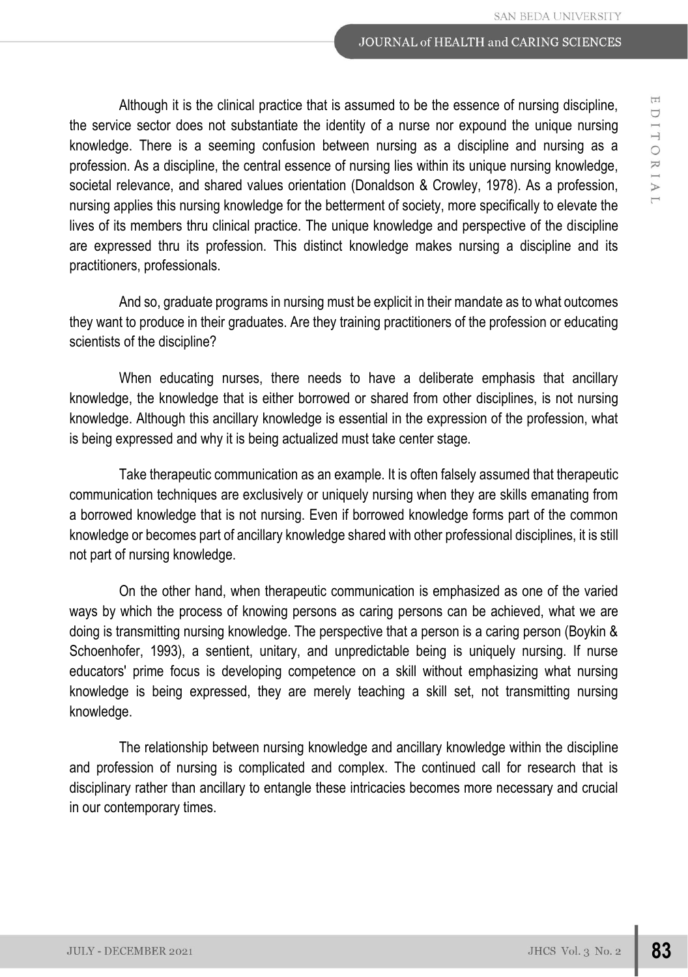Although it is the clinical practice that is assumed to be the essence of nursing discipline, the service sector does not substantiate the identity of a nurse nor expound the unique nursing knowledge. There is a seeming confusion between nursing as a discipline and nursing as a profession. As a discipline, the central essence of nursing lies within its unique nursing knowledge, societal relevance, and shared values orientation (Donaldson & Crowley, 1978). As a profession, nursing applies this nursing knowledge for the betterment of society, more specifically to elevate the lives of its members thru clinical practice. The unique knowledge and perspective of the discipline are expressed thru its profession. This distinct knowledge makes nursing a discipline and its practitioners, professionals.

And so, graduate programs in nursing must be explicit in their mandate as to what outcomes they want to produce in their graduates. Are they training practitioners of the profession or educating scientists of the discipline?

When educating nurses, there needs to have a deliberate emphasis that ancillary knowledge, the knowledge that is either borrowed or shared from other disciplines, is not nursing knowledge. Although this ancillary knowledge is essential in the expression of the profession, what is being expressed and why it is being actualized must take center stage.

Take therapeutic communication as an example. It is often falsely assumed that therapeutic communication techniques are exclusively or uniquely nursing when they are skills emanating from a borrowed knowledge that is not nursing. Even if borrowed knowledge forms part of the common knowledge or becomes part of ancillary knowledge shared with other professional disciplines, it is still not part of nursing knowledge.

On the other hand, when therapeutic communication is emphasized as one of the varied ways by which the process of knowing persons as caring persons can be achieved, what we are doing is transmitting nursing knowledge. The perspective that a person is a caring person (Boykin & Schoenhofer, 1993), a sentient, unitary, and unpredictable being is uniquely nursing. If nurse educators' prime focus is developing competence on a skill without emphasizing what nursing knowledge is being expressed, they are merely teaching a skill set, not transmitting nursing knowledge.

The relationship between nursing knowledge and ancillary knowledge within the discipline and profession of nursing is complicated and complex. The continued call for research that is disciplinary rather than ancillary to entangle these intricacies becomes more necessary and crucial in our contemporary times.